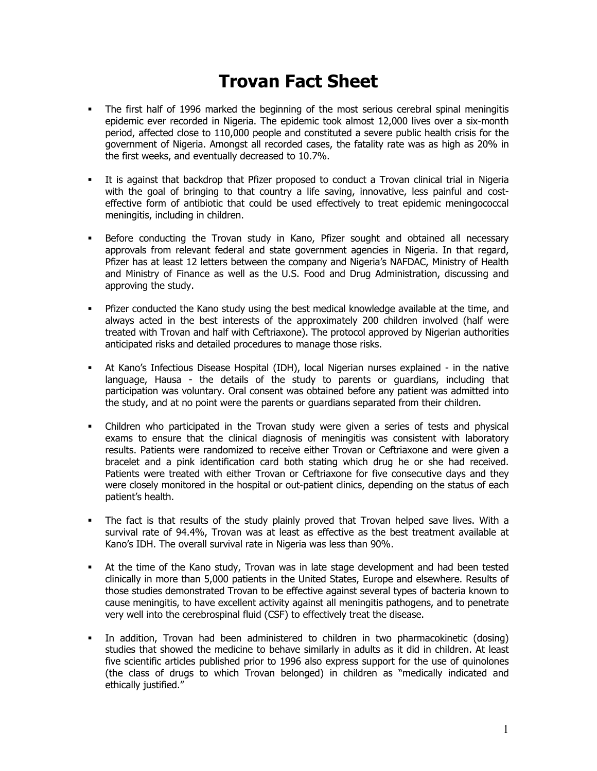## **Trovan Fact Sheet**

- The first half of 1996 marked the beginning of the most serious cerebral spinal meningitis epidemic ever recorded in Nigeria. The epidemic took almost 12,000 lives over a six-month period, affected close to 110,000 people and constituted a severe public health crisis for the government of Nigeria. Amongst all recorded cases, the fatality rate was as high as 20% in the first weeks, and eventually decreased to 10.7%.
- It is against that backdrop that Pfizer proposed to conduct a Trovan clinical trial in Nigeria with the goal of bringing to that country a life saving, innovative, less painful and costeffective form of antibiotic that could be used effectively to treat epidemic meningococcal meningitis, including in children.
- Before conducting the Trovan study in Kano, Pfizer sought and obtained all necessary approvals from relevant federal and state government agencies in Nigeria. In that regard, Pfizer has at least 12 letters between the company and Nigeria's NAFDAC, Ministry of Health and Ministry of Finance as well as the U.S. Food and Drug Administration, discussing and approving the study.
- Pfizer conducted the Kano study using the best medical knowledge available at the time, and always acted in the best interests of the approximately 200 children involved (half were treated with Trovan and half with Ceftriaxone). The protocol approved by Nigerian authorities anticipated risks and detailed procedures to manage those risks.
- At Kano's Infectious Disease Hospital (IDH), local Nigerian nurses explained in the native language, Hausa - the details of the study to parents or guardians, including that participation was voluntary. Oral consent was obtained before any patient was admitted into the study, and at no point were the parents or guardians separated from their children.
- Children who participated in the Trovan study were given a series of tests and physical exams to ensure that the clinical diagnosis of meningitis was consistent with laboratory results. Patients were randomized to receive either Trovan or Ceftriaxone and were given a bracelet and a pink identification card both stating which drug he or she had received. Patients were treated with either Trovan or Ceftriaxone for five consecutive days and they were closely monitored in the hospital or out-patient clinics, depending on the status of each patient's health.
- The fact is that results of the study plainly proved that Trovan helped save lives. With a survival rate of 94.4%, Trovan was at least as effective as the best treatment available at Kano's IDH. The overall survival rate in Nigeria was less than 90%.
- At the time of the Kano study, Trovan was in late stage development and had been tested clinically in more than 5,000 patients in the United States, Europe and elsewhere. Results of those studies demonstrated Trovan to be effective against several types of bacteria known to cause meningitis, to have excellent activity against all meningitis pathogens, and to penetrate very well into the cerebrospinal fluid (CSF) to effectively treat the disease.
- In addition, Trovan had been administered to children in two pharmacokinetic (dosing) studies that showed the medicine to behave similarly in adults as it did in children. At least five scientific articles published prior to 1996 also express support for the use of quinolones (the class of drugs to which Trovan belonged) in children as "medically indicated and ethically justified."